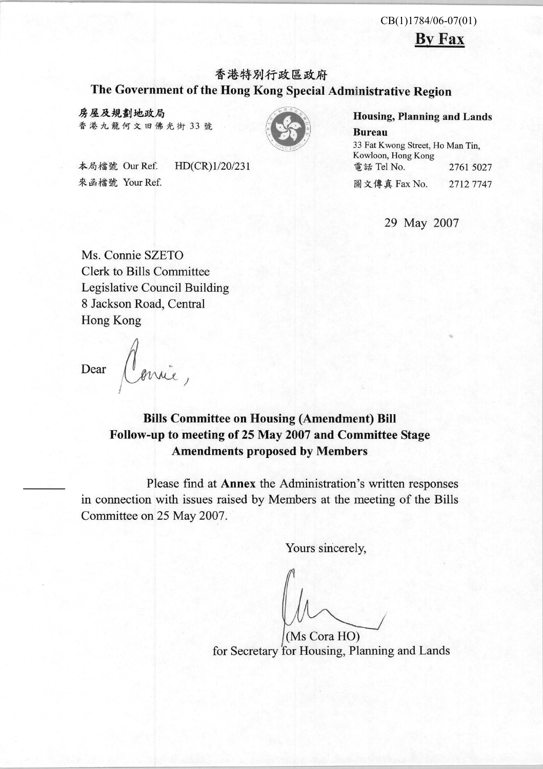#### $CB(1)1784/06-07(01)$

**By Fax** 

## 香港特別行政區政府 The Government of the Hong Kong Special Administrative Region

房屋及規劃地政局 香港九龍何文田佛光街 33號



本局檔號 Our Ref. HD(CR)1/20/231 來函檔號 Your Ref.

**Housing, Planning and Lands** 

**Bureau** 33 Fat Kwong Street, Ho Man Tin, Kowloon, Hong Kong 電話 Tel No. 2761 5027 圖文傳真 Fax No. 27127747

29 May 2007

Ms. Connie SZETO **Clerk to Bills Committee Legislative Council Building** 8 Jackson Road, Central Hong Kong

Dear

## **Bills Committee on Housing (Amendment) Bill** Follow-up to meeting of 25 May 2007 and Committee Stage **Amendments proposed by Members**

Please find at Annex the Administration's written responses in connection with issues raised by Members at the meeting of the Bills Committee on 25 May 2007.

Yours sincerely,

(Ms Cora HO) for Secretary for Housing, Planning and Lands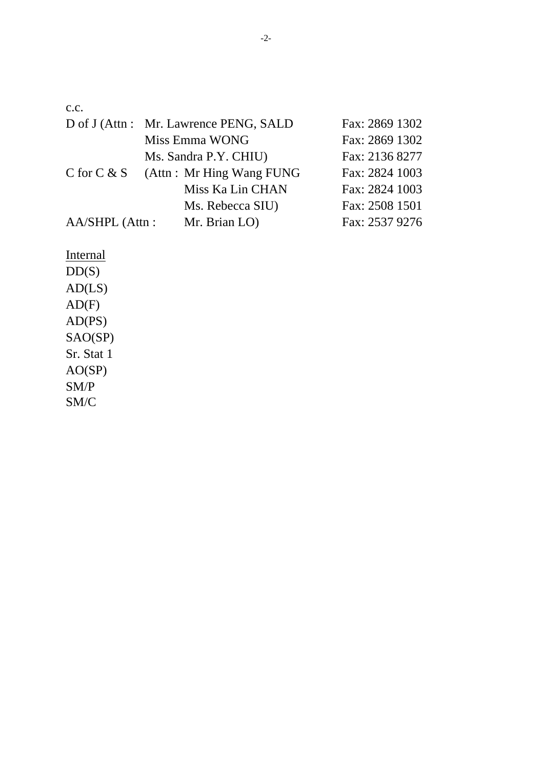c.c.

|                  | D of J (Attn: Mr. Lawrence PENG, SALD | Fax: 2869 1302 |
|------------------|---------------------------------------|----------------|
|                  | Miss Emma WONG                        | Fax: 2869 1302 |
|                  | Ms. Sandra P.Y. CHIU)                 | Fax: 2136 8277 |
| C for $C & S$    | (Attn: Mr Hing Wang FUNG              | Fax: 2824 1003 |
|                  | Miss Ka Lin CHAN                      | Fax: 2824 1003 |
|                  | Ms. Rebecca SIU)                      | Fax: 2508 1501 |
| $AA/SHPL$ (Attn: | Mr. Brian LO)                         | Fax: 2537 9276 |

**Internal**  $DD(S)$  $AD(LS)$  $AD(F)$ AD(PS) SAO(SP) Sr. Stat 1 AO(SP) SM/P SM/C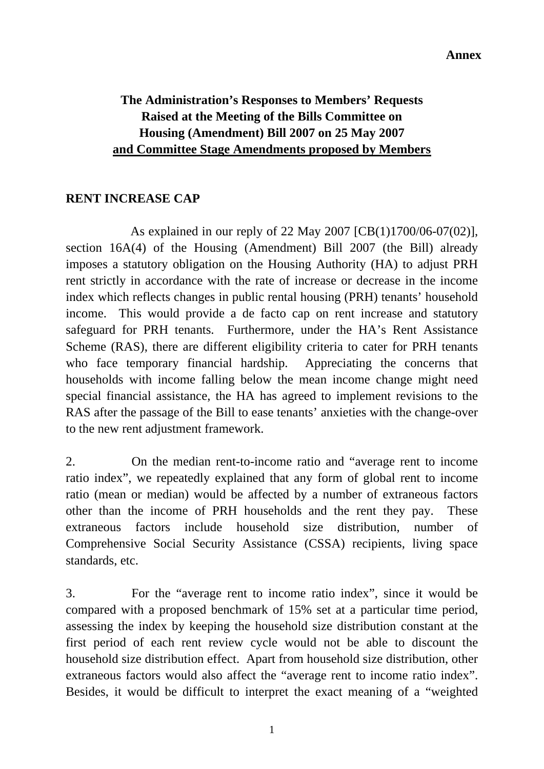# **The Administration's Responses to Members' Requests Raised at the Meeting of the Bills Committee on Housing (Amendment) Bill 2007 on 25 May 2007 and Committee Stage Amendments proposed by Members**

#### **RENT INCREASE CAP**

As explained in our reply of 22 May 2007 [CB(1)1700/06-07(02)], section 16A(4) of the Housing (Amendment) Bill 2007 (the Bill) already imposes a statutory obligation on the Housing Authority (HA) to adjust PRH rent strictly in accordance with the rate of increase or decrease in the income index which reflects changes in public rental housing (PRH) tenants' household income. This would provide a de facto cap on rent increase and statutory safeguard for PRH tenants. Furthermore, under the HA's Rent Assistance Scheme (RAS), there are different eligibility criteria to cater for PRH tenants who face temporary financial hardship. Appreciating the concerns that households with income falling below the mean income change might need special financial assistance, the HA has agreed to implement revisions to the RAS after the passage of the Bill to ease tenants' anxieties with the change-over to the new rent adjustment framework.

2. On the median rent-to-income ratio and "average rent to income ratio index", we repeatedly explained that any form of global rent to income ratio (mean or median) would be affected by a number of extraneous factors other than the income of PRH households and the rent they pay. These extraneous factors include household size distribution, number of Comprehensive Social Security Assistance (CSSA) recipients, living space standards, etc.

3. For the "average rent to income ratio index", since it would be compared with a proposed benchmark of 15% set at a particular time period, assessing the index by keeping the household size distribution constant at the first period of each rent review cycle would not be able to discount the household size distribution effect. Apart from household size distribution, other extraneous factors would also affect the "average rent to income ratio index". Besides, it would be difficult to interpret the exact meaning of a "weighted

1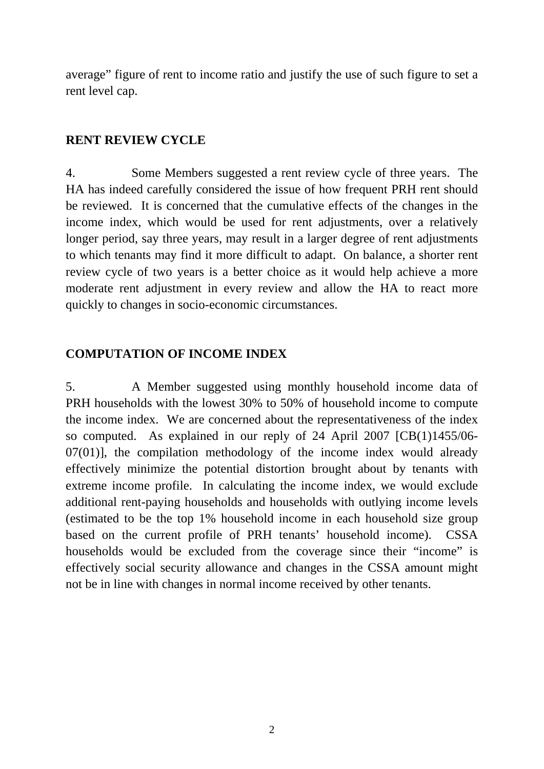average" figure of rent to income ratio and justify the use of such figure to set a rent level cap.

#### **RENT REVIEW CYCLE**

4. Some Members suggested a rent review cycle of three years. The HA has indeed carefully considered the issue of how frequent PRH rent should be reviewed. It is concerned that the cumulative effects of the changes in the income index, which would be used for rent adjustments, over a relatively longer period, say three years, may result in a larger degree of rent adjustments to which tenants may find it more difficult to adapt. On balance, a shorter rent review cycle of two years is a better choice as it would help achieve a more moderate rent adjustment in every review and allow the HA to react more quickly to changes in socio-economic circumstances.

## **COMPUTATION OF INCOME INDEX**

5. A Member suggested using monthly household income data of PRH households with the lowest 30% to 50% of household income to compute the income index. We are concerned about the representativeness of the index so computed. As explained in our reply of 24 April 2007 [CB(1)1455/06- 07(01)], the compilation methodology of the income index would already effectively minimize the potential distortion brought about by tenants with extreme income profile. In calculating the income index, we would exclude additional rent-paying households and households with outlying income levels (estimated to be the top 1% household income in each household size group based on the current profile of PRH tenants' household income). CSSA households would be excluded from the coverage since their "income" is effectively social security allowance and changes in the CSSA amount might not be in line with changes in normal income received by other tenants.